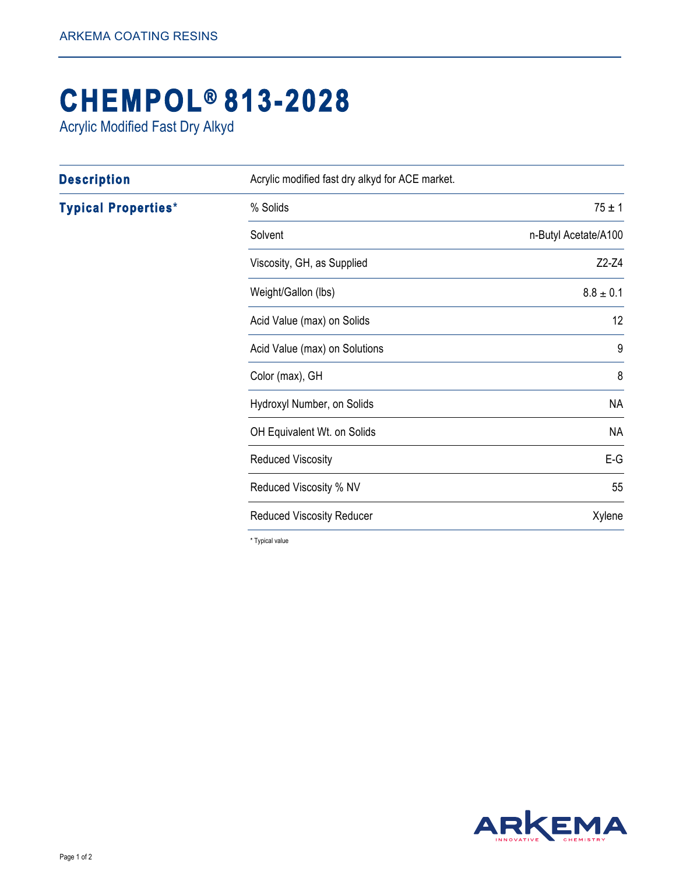## **[CHEMPOL®](http://www.arkemacoatingresins.com/en/index.html) 813-2028**

Acrylic Modified Fast Dry Alkyd

| <b>Description</b>         | Acrylic modified fast dry alkyd for ACE market. |                      |
|----------------------------|-------------------------------------------------|----------------------|
| <b>Typical Properties*</b> | % Solids                                        | $75 \pm 1$           |
|                            | Solvent                                         | n-Butyl Acetate/A100 |
|                            | Viscosity, GH, as Supplied                      | $Z2-Z4$              |
|                            | Weight/Gallon (lbs)                             | $8.8 \pm 0.1$        |
|                            | Acid Value (max) on Solids                      | 12                   |
|                            | Acid Value (max) on Solutions                   | 9                    |
|                            | Color (max), GH                                 | 8                    |
|                            | Hydroxyl Number, on Solids                      | <b>NA</b>            |
|                            | OH Equivalent Wt. on Solids                     | <b>NA</b>            |
|                            | <b>Reduced Viscosity</b>                        | $E-G$                |
|                            | Reduced Viscosity % NV                          | 55                   |
|                            | <b>Reduced Viscosity Reducer</b>                | Xylene               |

\* Typical value